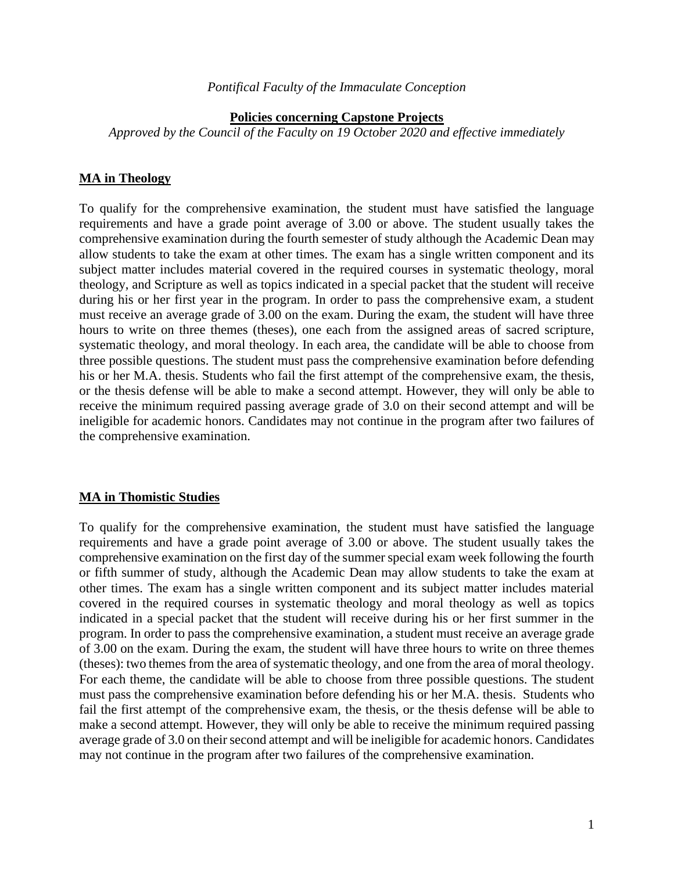#### *Pontifical Faculty of the Immaculate Conception*

#### **Policies concerning Capstone Projects**

*Approved by the Council of the Faculty on 19 October 2020 and effective immediately*

### **MA in Theology**

To qualify for the comprehensive examination, the student must have satisfied the language requirements and have a grade point average of 3.00 or above. The student usually takes the comprehensive examination during the fourth semester of study although the Academic Dean may allow students to take the exam at other times. The exam has a single written component and its subject matter includes material covered in the required courses in systematic theology, moral theology, and Scripture as well as topics indicated in a special packet that the student will receive during his or her first year in the program. In order to pass the comprehensive exam, a student must receive an average grade of 3.00 on the exam. During the exam, the student will have three hours to write on three themes (theses), one each from the assigned areas of sacred scripture, systematic theology, and moral theology. In each area, the candidate will be able to choose from three possible questions. The student must pass the comprehensive examination before defending his or her M.A. thesis. Students who fail the first attempt of the comprehensive exam, the thesis, or the thesis defense will be able to make a second attempt. However, they will only be able to receive the minimum required passing average grade of 3.0 on their second attempt and will be ineligible for academic honors. Candidates may not continue in the program after two failures of the comprehensive examination.

#### **MA in Thomistic Studies**

To qualify for the comprehensive examination, the student must have satisfied the language requirements and have a grade point average of 3.00 or above. The student usually takes the comprehensive examination on the first day of the summer special exam week following the fourth or fifth summer of study, although the Academic Dean may allow students to take the exam at other times. The exam has a single written component and its subject matter includes material covered in the required courses in systematic theology and moral theology as well as topics indicated in a special packet that the student will receive during his or her first summer in the program. In order to pass the comprehensive examination, a student must receive an average grade of 3.00 on the exam. During the exam, the student will have three hours to write on three themes (theses): two themes from the area of systematic theology, and one from the area of moral theology. For each theme, the candidate will be able to choose from three possible questions. The student must pass the comprehensive examination before defending his or her M.A. thesis. Students who fail the first attempt of the comprehensive exam, the thesis, or the thesis defense will be able to make a second attempt. However, they will only be able to receive the minimum required passing average grade of 3.0 on their second attempt and will be ineligible for academic honors. Candidates may not continue in the program after two failures of the comprehensive examination.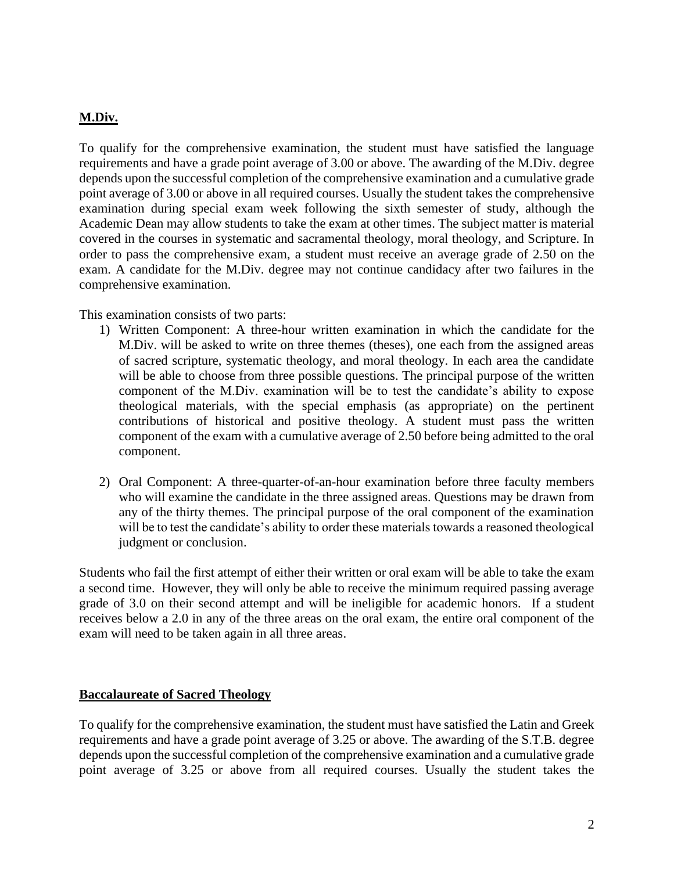# **M.Div.**

To qualify for the comprehensive examination, the student must have satisfied the language requirements and have a grade point average of 3.00 or above. The awarding of the M.Div. degree depends upon the successful completion of the comprehensive examination and a cumulative grade point average of 3.00 or above in all required courses. Usually the student takes the comprehensive examination during special exam week following the sixth semester of study, although the Academic Dean may allow students to take the exam at other times. The subject matter is material covered in the courses in systematic and sacramental theology, moral theology, and Scripture. In order to pass the comprehensive exam, a student must receive an average grade of 2.50 on the exam. A candidate for the M.Div. degree may not continue candidacy after two failures in the comprehensive examination.

This examination consists of two parts:

- 1) Written Component: A three-hour written examination in which the candidate for the M.Div. will be asked to write on three themes (theses), one each from the assigned areas of sacred scripture, systematic theology, and moral theology. In each area the candidate will be able to choose from three possible questions. The principal purpose of the written component of the M.Div. examination will be to test the candidate's ability to expose theological materials, with the special emphasis (as appropriate) on the pertinent contributions of historical and positive theology. A student must pass the written component of the exam with a cumulative average of 2.50 before being admitted to the oral component.
- 2) Oral Component: A three-quarter-of-an-hour examination before three faculty members who will examine the candidate in the three assigned areas. Questions may be drawn from any of the thirty themes. The principal purpose of the oral component of the examination will be to test the candidate's ability to order these materials towards a reasoned theological judgment or conclusion.

Students who fail the first attempt of either their written or oral exam will be able to take the exam a second time. However, they will only be able to receive the minimum required passing average grade of 3.0 on their second attempt and will be ineligible for academic honors. If a student receives below a 2.0 in any of the three areas on the oral exam, the entire oral component of the exam will need to be taken again in all three areas.

### **Baccalaureate of Sacred Theology**

To qualify for the comprehensive examination, the student must have satisfied the Latin and Greek requirements and have a grade point average of 3.25 or above. The awarding of the S.T.B. degree depends upon the successful completion of the comprehensive examination and a cumulative grade point average of 3.25 or above from all required courses. Usually the student takes the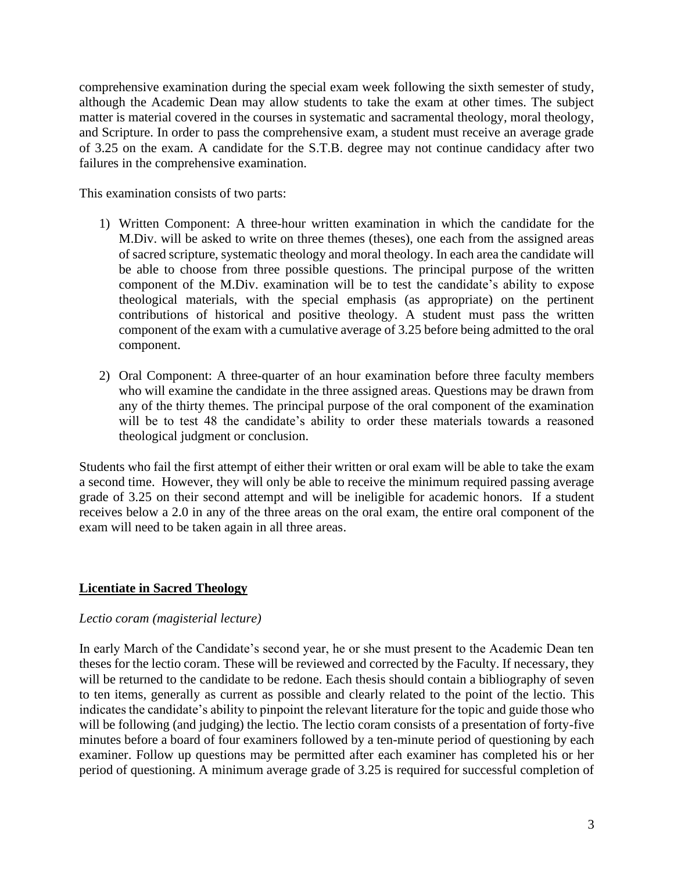comprehensive examination during the special exam week following the sixth semester of study, although the Academic Dean may allow students to take the exam at other times. The subject matter is material covered in the courses in systematic and sacramental theology, moral theology, and Scripture. In order to pass the comprehensive exam, a student must receive an average grade of 3.25 on the exam. A candidate for the S.T.B. degree may not continue candidacy after two failures in the comprehensive examination.

This examination consists of two parts:

- 1) Written Component: A three-hour written examination in which the candidate for the M.Div. will be asked to write on three themes (theses), one each from the assigned areas of sacred scripture, systematic theology and moral theology. In each area the candidate will be able to choose from three possible questions. The principal purpose of the written component of the M.Div. examination will be to test the candidate's ability to expose theological materials, with the special emphasis (as appropriate) on the pertinent contributions of historical and positive theology. A student must pass the written component of the exam with a cumulative average of 3.25 before being admitted to the oral component.
- 2) Oral Component: A three-quarter of an hour examination before three faculty members who will examine the candidate in the three assigned areas. Questions may be drawn from any of the thirty themes. The principal purpose of the oral component of the examination will be to test 48 the candidate's ability to order these materials towards a reasoned theological judgment or conclusion.

Students who fail the first attempt of either their written or oral exam will be able to take the exam a second time. However, they will only be able to receive the minimum required passing average grade of 3.25 on their second attempt and will be ineligible for academic honors. If a student receives below a 2.0 in any of the three areas on the oral exam, the entire oral component of the exam will need to be taken again in all three areas.

## **Licentiate in Sacred Theology**

### *Lectio coram (magisterial lecture)*

In early March of the Candidate's second year, he or she must present to the Academic Dean ten theses for the lectio coram. These will be reviewed and corrected by the Faculty. If necessary, they will be returned to the candidate to be redone. Each thesis should contain a bibliography of seven to ten items, generally as current as possible and clearly related to the point of the lectio. This indicates the candidate's ability to pinpoint the relevant literature for the topic and guide those who will be following (and judging) the lectio. The lectio coram consists of a presentation of forty-five minutes before a board of four examiners followed by a ten-minute period of questioning by each examiner. Follow up questions may be permitted after each examiner has completed his or her period of questioning. A minimum average grade of 3.25 is required for successful completion of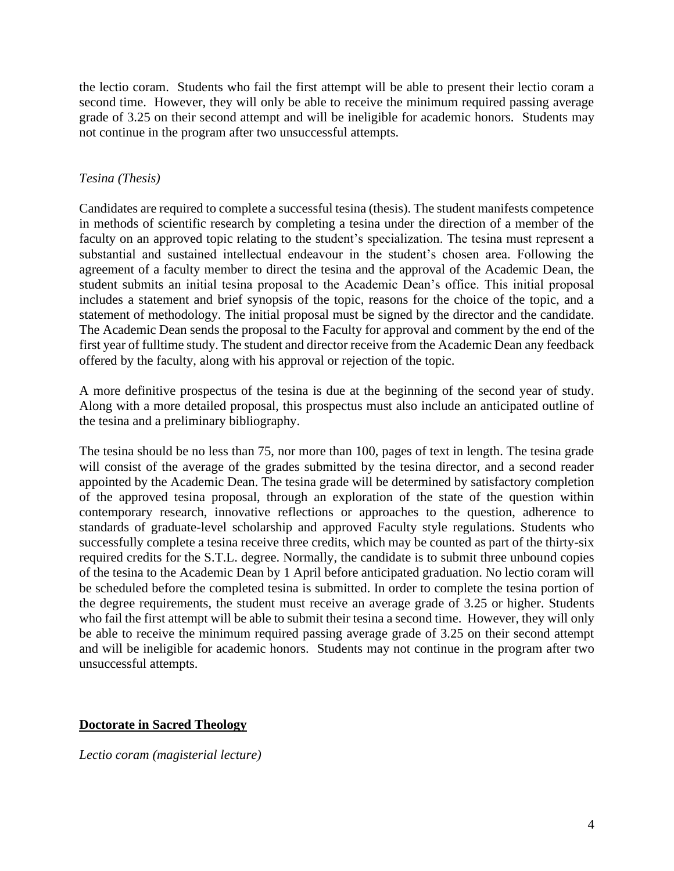the lectio coram. Students who fail the first attempt will be able to present their lectio coram a second time. However, they will only be able to receive the minimum required passing average grade of 3.25 on their second attempt and will be ineligible for academic honors. Students may not continue in the program after two unsuccessful attempts.

## *Tesina (Thesis)*

Candidates are required to complete a successful tesina (thesis). The student manifests competence in methods of scientific research by completing a tesina under the direction of a member of the faculty on an approved topic relating to the student's specialization. The tesina must represent a substantial and sustained intellectual endeavour in the student's chosen area. Following the agreement of a faculty member to direct the tesina and the approval of the Academic Dean, the student submits an initial tesina proposal to the Academic Dean's office. This initial proposal includes a statement and brief synopsis of the topic, reasons for the choice of the topic, and a statement of methodology. The initial proposal must be signed by the director and the candidate. The Academic Dean sends the proposal to the Faculty for approval and comment by the end of the first year of fulltime study. The student and director receive from the Academic Dean any feedback offered by the faculty, along with his approval or rejection of the topic.

A more definitive prospectus of the tesina is due at the beginning of the second year of study. Along with a more detailed proposal, this prospectus must also include an anticipated outline of the tesina and a preliminary bibliography.

The tesina should be no less than 75, nor more than 100, pages of text in length. The tesina grade will consist of the average of the grades submitted by the tesina director, and a second reader appointed by the Academic Dean. The tesina grade will be determined by satisfactory completion of the approved tesina proposal, through an exploration of the state of the question within contemporary research, innovative reflections or approaches to the question, adherence to standards of graduate-level scholarship and approved Faculty style regulations. Students who successfully complete a tesina receive three credits, which may be counted as part of the thirty-six required credits for the S.T.L. degree. Normally, the candidate is to submit three unbound copies of the tesina to the Academic Dean by 1 April before anticipated graduation. No lectio coram will be scheduled before the completed tesina is submitted. In order to complete the tesina portion of the degree requirements, the student must receive an average grade of 3.25 or higher. Students who fail the first attempt will be able to submit their tesina a second time. However, they will only be able to receive the minimum required passing average grade of 3.25 on their second attempt and will be ineligible for academic honors. Students may not continue in the program after two unsuccessful attempts.

### **Doctorate in Sacred Theology**

*Lectio coram (magisterial lecture)*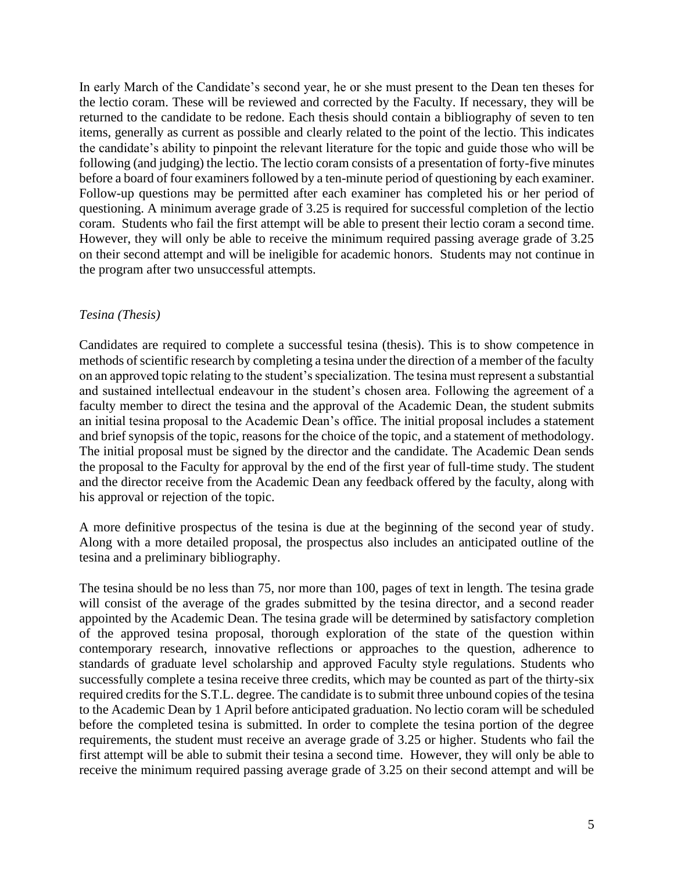In early March of the Candidate's second year, he or she must present to the Dean ten theses for the lectio coram. These will be reviewed and corrected by the Faculty. If necessary, they will be returned to the candidate to be redone. Each thesis should contain a bibliography of seven to ten items, generally as current as possible and clearly related to the point of the lectio. This indicates the candidate's ability to pinpoint the relevant literature for the topic and guide those who will be following (and judging) the lectio. The lectio coram consists of a presentation of forty-five minutes before a board of four examiners followed by a ten-minute period of questioning by each examiner. Follow-up questions may be permitted after each examiner has completed his or her period of questioning. A minimum average grade of 3.25 is required for successful completion of the lectio coram. Students who fail the first attempt will be able to present their lectio coram a second time. However, they will only be able to receive the minimum required passing average grade of 3.25 on their second attempt and will be ineligible for academic honors. Students may not continue in the program after two unsuccessful attempts.

## *Tesina (Thesis)*

Candidates are required to complete a successful tesina (thesis). This is to show competence in methods of scientific research by completing a tesina under the direction of a member of the faculty on an approved topic relating to the student's specialization. The tesina must represent a substantial and sustained intellectual endeavour in the student's chosen area. Following the agreement of a faculty member to direct the tesina and the approval of the Academic Dean, the student submits an initial tesina proposal to the Academic Dean's office. The initial proposal includes a statement and brief synopsis of the topic, reasons for the choice of the topic, and a statement of methodology. The initial proposal must be signed by the director and the candidate. The Academic Dean sends the proposal to the Faculty for approval by the end of the first year of full-time study. The student and the director receive from the Academic Dean any feedback offered by the faculty, along with his approval or rejection of the topic.

A more definitive prospectus of the tesina is due at the beginning of the second year of study. Along with a more detailed proposal, the prospectus also includes an anticipated outline of the tesina and a preliminary bibliography.

The tesina should be no less than 75, nor more than 100, pages of text in length. The tesina grade will consist of the average of the grades submitted by the tesina director, and a second reader appointed by the Academic Dean. The tesina grade will be determined by satisfactory completion of the approved tesina proposal, thorough exploration of the state of the question within contemporary research, innovative reflections or approaches to the question, adherence to standards of graduate level scholarship and approved Faculty style regulations. Students who successfully complete a tesina receive three credits, which may be counted as part of the thirty-six required credits for the S.T.L. degree. The candidate is to submit three unbound copies of the tesina to the Academic Dean by 1 April before anticipated graduation. No lectio coram will be scheduled before the completed tesina is submitted. In order to complete the tesina portion of the degree requirements, the student must receive an average grade of 3.25 or higher. Students who fail the first attempt will be able to submit their tesina a second time. However, they will only be able to receive the minimum required passing average grade of 3.25 on their second attempt and will be